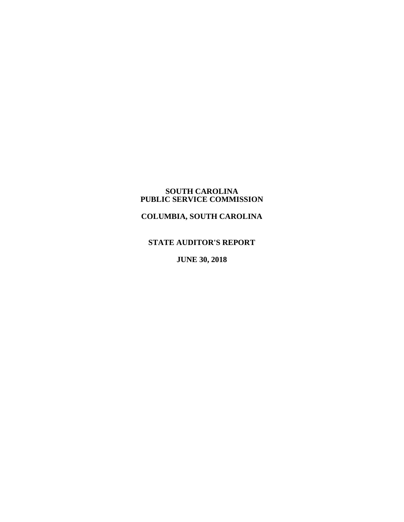#### **SOUTH CAROLINA PUBLIC SERVICE COMMISSION**

**COLUMBIA, SOUTH CAROLINA**

# **STATE AUDITOR'S REPORT**

**JUNE 30, 2018**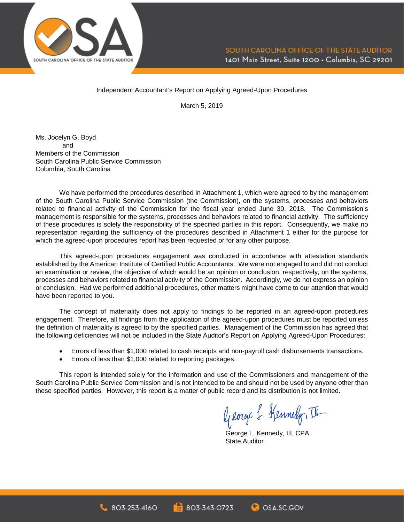

#### Independent Accountant's Report on Applying Agreed-Upon Procedures

March 5, 2019

Ms. Jocelyn G. Boyd and Members of the Commission South Carolina Public Service Commission Columbia, South Carolina

We have performed the procedures described in Attachment 1, which were agreed to by the management of the South Carolina Public Service Commission (the Commission), on the systems, processes and behaviors related to financial activity of the Commission for the fiscal year ended June 30, 2018. The Commission's management is responsible for the systems, processes and behaviors related to financial activity. The sufficiency of these procedures is solely the responsibility of the specified parties in this report. Consequently, we make no representation regarding the sufficiency of the procedures described in Attachment 1 either for the purpose for which the agreed-upon procedures report has been requested or for any other purpose.

This agreed-upon procedures engagement was conducted in accordance with attestation standards established by the American Institute of Certified Public Accountants. We were not engaged to and did not conduct an examination or review, the objective of which would be an opinion or conclusion, respectively, on the systems, processes and behaviors related to financial activity of the Commission. Accordingly, we do not express an opinion or conclusion. Had we performed additional procedures, other matters might have come to our attention that would have been reported to you.

The concept of materiality does not apply to findings to be reported in an agreed-upon procedures engagement. Therefore, all findings from the application of the agreed-upon procedures must be reported unless the definition of materiality is agreed to by the specified parties. Management of the Commission has agreed that the following deficiencies will not be included in the State Auditor's Report on Applying Agreed-Upon Procedures:

- Errors of less than \$1,000 related to cash receipts and non-payroll cash disbursements transactions.
- Errors of less than \$1,000 related to reporting packages.

This report is intended solely for the information and use of the Commissioners and management of the South Carolina Public Service Commission and is not intended to be and should not be used by anyone other than these specified parties. However, this report is a matter of public record and its distribution is not limited.

George & Kennedy, II

George L. Kennedy, III, CPA State Auditor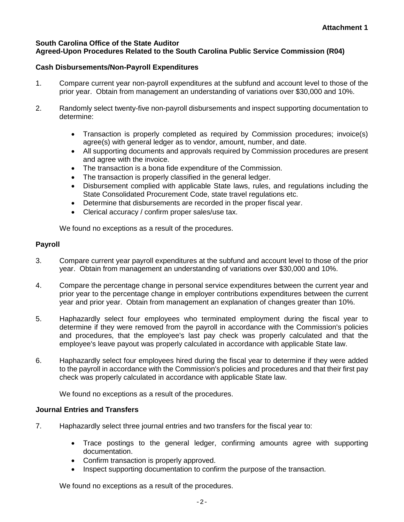## **South Carolina Office of the State Auditor Agreed-Upon Procedures Related to the South Carolina Public Service Commission (R04)**

# **Cash Disbursements/Non-Payroll Expenditures**

- 1. Compare current year non-payroll expenditures at the subfund and account level to those of the prior year. Obtain from management an understanding of variations over \$30,000 and 10%.
- 2. Randomly select twenty-five non-payroll disbursements and inspect supporting documentation to determine:
	- Transaction is properly completed as required by Commission procedures; invoice(s) agree(s) with general ledger as to vendor, amount, number, and date.
	- All supporting documents and approvals required by Commission procedures are present and agree with the invoice.
	- The transaction is a bona fide expenditure of the Commission.
	- The transaction is properly classified in the general ledger.
	- Disbursement complied with applicable State laws, rules, and regulations including the State Consolidated Procurement Code, state travel regulations etc.
	- Determine that disbursements are recorded in the proper fiscal year.
	- Clerical accuracy / confirm proper sales/use tax.

We found no exceptions as a result of the procedures.

# **Payroll**

- 3. Compare current year payroll expenditures at the subfund and account level to those of the prior year. Obtain from management an understanding of variations over \$30,000 and 10%.
- 4. Compare the percentage change in personal service expenditures between the current year and prior year to the percentage change in employer contributions expenditures between the current year and prior year. Obtain from management an explanation of changes greater than 10%.
- 5. Haphazardly select four employees who terminated employment during the fiscal year to determine if they were removed from the payroll in accordance with the Commission's policies and procedures, that the employee's last pay check was properly calculated and that the employee's leave payout was properly calculated in accordance with applicable State law.
- 6. Haphazardly select four employees hired during the fiscal year to determine if they were added to the payroll in accordance with the Commission's policies and procedures and that their first pay check was properly calculated in accordance with applicable State law.

We found no exceptions as a result of the procedures.

# **Journal Entries and Transfers**

- 7. Haphazardly select three journal entries and two transfers for the fiscal year to:
	- Trace postings to the general ledger, confirming amounts agree with supporting documentation.
	- Confirm transaction is properly approved.
	- Inspect supporting documentation to confirm the purpose of the transaction.

We found no exceptions as a result of the procedures.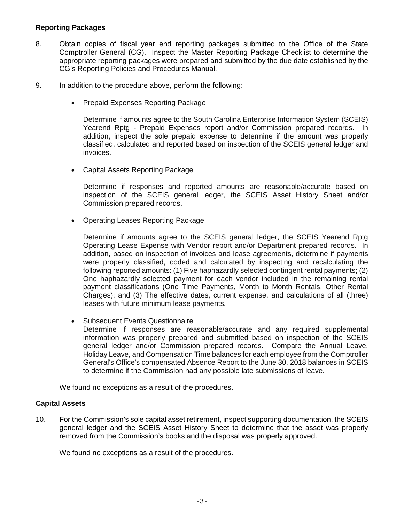## **Reporting Packages**

- 8. Obtain copies of fiscal year end reporting packages submitted to the Office of the State Comptroller General (CG). Inspect the Master Reporting Package Checklist to determine the appropriate reporting packages were prepared and submitted by the due date established by the CG's Reporting Policies and Procedures Manual.
- 9. In addition to the procedure above, perform the following:
	- Prepaid Expenses Reporting Package

Determine if amounts agree to the South Carolina Enterprise Information System (SCEIS) Yearend Rptg - Prepaid Expenses report and/or Commission prepared records. In addition, inspect the sole prepaid expense to determine if the amount was properly classified, calculated and reported based on inspection of the SCEIS general ledger and invoices.

• Capital Assets Reporting Package

Determine if responses and reported amounts are reasonable/accurate based on inspection of the SCEIS general ledger, the SCEIS Asset History Sheet and/or Commission prepared records.

• Operating Leases Reporting Package

Determine if amounts agree to the SCEIS general ledger, the SCEIS Yearend Rptg Operating Lease Expense with Vendor report and/or Department prepared records. In addition, based on inspection of invoices and lease agreements, determine if payments were properly classified, coded and calculated by inspecting and recalculating the following reported amounts: (1) Five haphazardly selected contingent rental payments; (2) One haphazardly selected payment for each vendor included in the remaining rental payment classifications (One Time Payments, Month to Month Rentals, Other Rental Charges); and (3) The effective dates, current expense, and calculations of all (three) leases with future minimum lease payments.

• Subsequent Events Questionnaire

Determine if responses are reasonable/accurate and any required supplemental information was properly prepared and submitted based on inspection of the SCEIS general ledger and/or Commission prepared records. Compare the Annual Leave, Holiday Leave, and Compensation Time balances for each employee from the Comptroller General's Office's compensated Absence Report to the June 30, 2018 balances in SCEIS to determine if the Commission had any possible late submissions of leave.

We found no exceptions as a result of the procedures.

#### **Capital Assets**

10. For the Commission's sole capital asset retirement, inspect supporting documentation, the SCEIS general ledger and the SCEIS Asset History Sheet to determine that the asset was properly removed from the Commission's books and the disposal was properly approved.

We found no exceptions as a result of the procedures.